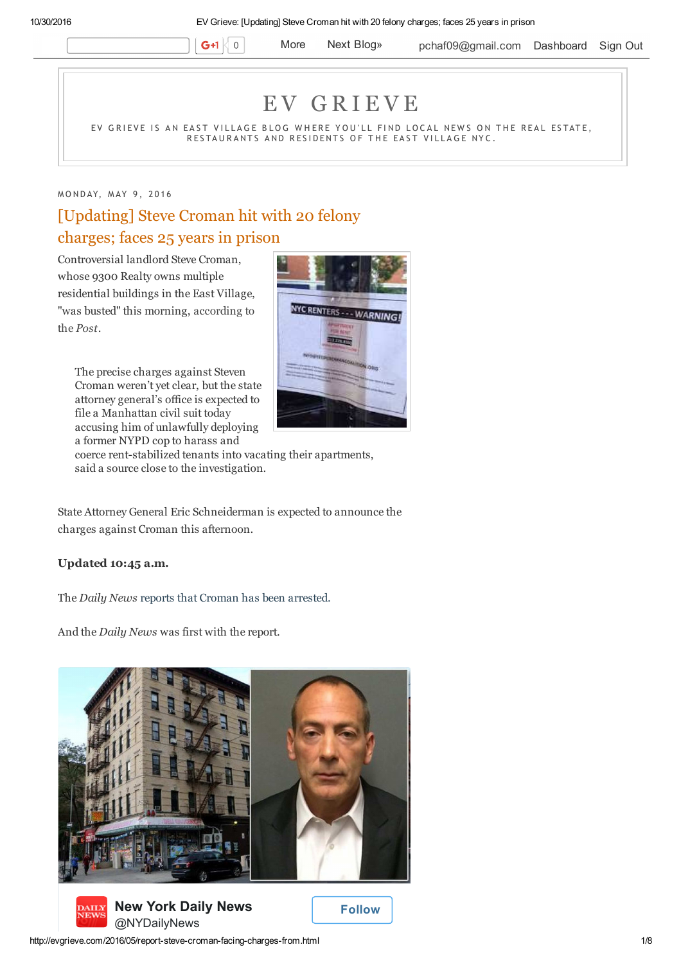$G+1$  0

More Next Blog» pchaf09@gmail.com Dashboard Sign Out

# E V G R I E V E

EV GRIEVE IS AN EAST VILLAGE BLOG WHERE YOU'LL FIND LOCAL NEWS ON THE REAL ESTATE, RESTAURANTS AND RESIDENTS OF THE EAST VILLAGE NYC.

## M O N D A Y, M A Y 9, 2016

# [Updating] Steve Croman hit with 20 felony charges; faces 25 years in prison

Controversial landlord Steve Croman, whose 9300 Realty owns multiple residential buildings in the East Village, "was busted" this morning, according to the *Post*.

The precise charges against Steven Croman weren't yet clear, but the state attorney general's office is expected to file a Manhattan civil suit today accusing him of unlawfully deploying a former NYPD cop to harass and



coerce rent-stabilized tenants into vacating their apartments, said a source close to the investigation.

State Attorney General Eric Schneiderman is expected to announce the charges against Croman this afternoon.

#### **Updated 10:45 a.m.**

The *Daily News* reports that Croman has been arrested.

And the *Daily News* was first with the report.





 **Follow**

http://evgrieve.com/2016/05/report-steve-croman-facing-charges-from.html 1/8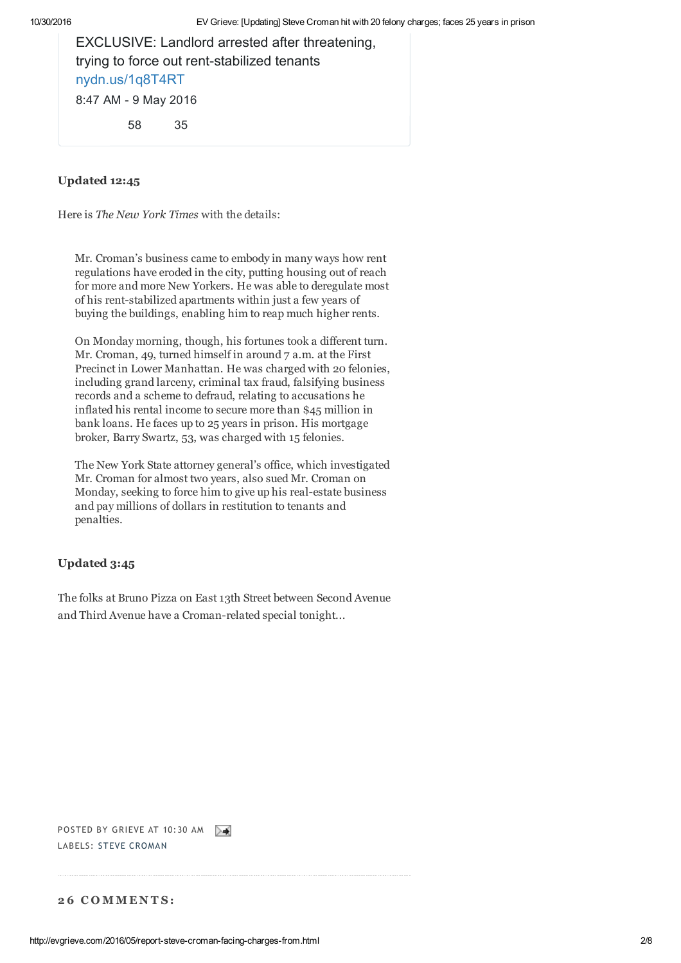EXCLUSIVE: Landlord arrested after threatening, trying to force out rent-stabilized tenants nydn.us/1q8T4RT 8:47 AM - 9 May 2016 58 35

# **Updated 12:45**

Here is *The New York Times* with the details:

Mr. Croman's business came to embody in many ways how rent regulations have eroded in the city, putting housing out of reach for more and more New Yorkers. He was able to deregulate most of his rent-stabilized apartments within just a few years of buying the buildings, enabling him to reap much higher rents.

On Monday morning, though, his fortunes took a different turn. Mr. Croman, 49, turned himself in around 7 a.m. at the First Precinct in Lower Manhattan. He was charged with 20 felonies, including grand larceny, criminal tax fraud, falsifying business records and a scheme to defraud, relating to accusations he inflated his rental income to secure more than \$45 million in bank loans. He faces up to 25 years in prison. His mortgage broker, Barry Swartz, 53, was charged with 15 felonies.

The New York State attorney general's office, which investigated Mr. Croman for almost two years, also sued Mr. Croman on Monday, seeking to force him to give up his real-estate business and pay millions of dollars in restitution to tenants and penalties.

# **Updated 3:45**

The folks at Bruno Pizza on East 13th Street between Second Avenue and Third Avenue have a Croman-related special tonight...



## **2 6 C O M M E N T S :**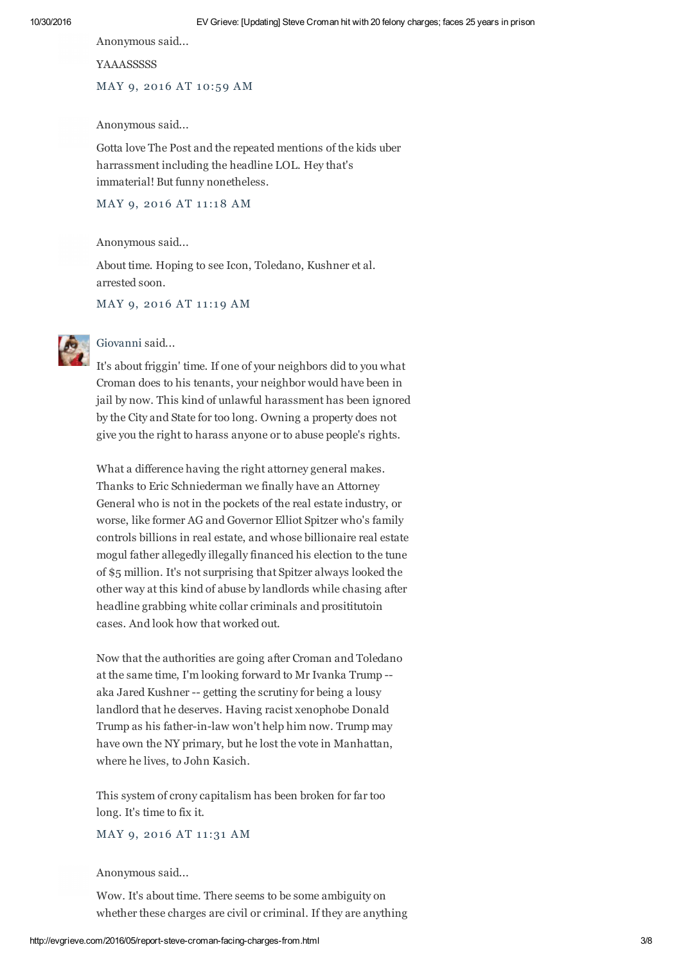Anonymous said...

**YAAASSSSSS** 

MAY 9, 2016 AT 10:59 AM

Anonymous said...

Gotta love The Post and the repeated mentions of the kids uber harrassment including the headline LOL. Hey that's immaterial! But funny nonetheless.

MAY 9, 2016 AT 11:18 AM

Anonymous said...

About time. Hoping to see Icon, Toledano, Kushner et al. arrested soon.

MAY 9, 2016 AT 11:19 AM



#### Giovanni said...

It's about friggin' time. If one of your neighbors did to you what Croman does to his tenants, your neighbor would have been in jail by now. This kind of unlawful harassment has been ignored by the City and State for too long. Owning a property does not give you the right to harass anyone or to abuse people's rights.

What a difference having the right attorney general makes. Thanks to Eric Schniederman we finally have an Attorney General who is not in the pockets of the real estate industry, or worse, like former AG and Governor Elliot Spitzer who's family controls billions in real estate, and whose billionaire real estate mogul father allegedly illegally financed his election to the tune of \$5 million. It's not surprising that Spitzer always looked the other way at this kind of abuse by landlords while chasing after headline grabbing white collar criminals and prosititutoin cases. And look how that worked out.

Now that the authorities are going after Croman and Toledano at the same time, I'm looking forward to Mr Ivanka Trump - aka Jared Kushner -- getting the scrutiny for being a lousy landlord that he deserves. Having racist xenophobe Donald Trump as his father-in-law won't help him now. Trump may have own the NY primary, but he lost the vote in Manhattan, where he lives, to John Kasich.

This system of crony capitalism has been broken for far too long. It's time to fix it.

MAY 9, 2016 AT 11:31 AM

Anonymous said...

Wow. It's about time. There seems to be some ambiguity on whether these charges are civil or criminal. If they are anything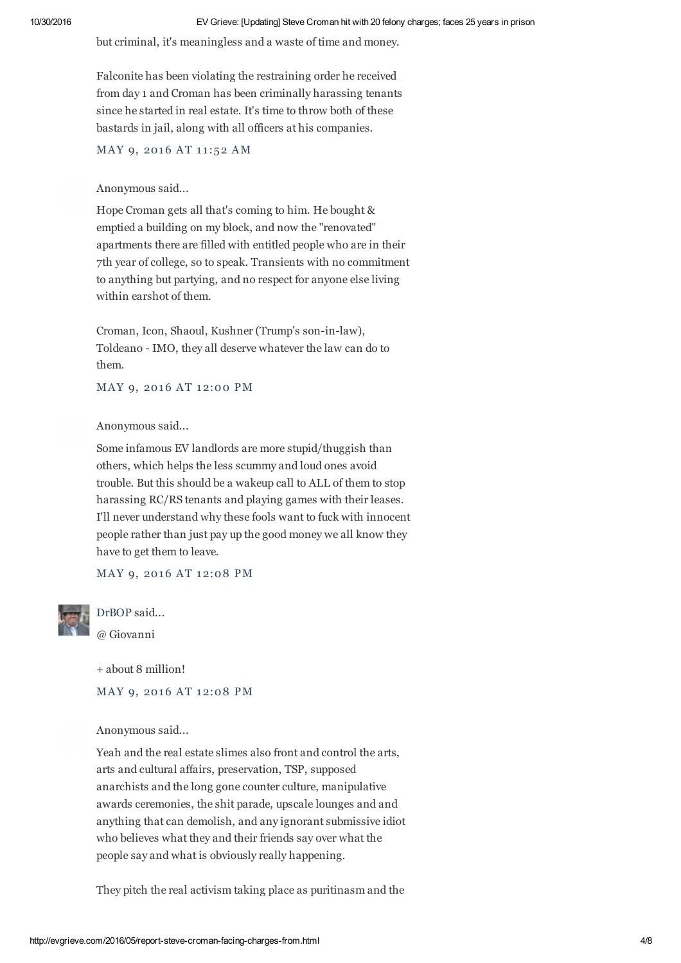but criminal, it's meaningless and a waste of time and money.

Falconite has been violating the restraining order he received from day 1 and Croman has been criminally harassing tenants since he started in real estate. It's time to throw both of these bastards in jail, along with all officers at his companies.

MAY 9, 2016 AT 11:52 AM

#### Anonymous said...

Hope Croman gets all that's coming to him. He bought & emptied a building on my block, and now the "renovated" apartments there are filled with entitled people who are in their 7th year of college, so to speak. Transients with no commitment to anything but partying, and no respect for anyone else living within earshot of them.

Croman, Icon, Shaoul, Kushner (Trump's son-in-law), Toldeano - IMO, they all deserve whatever the law can do to them.

MAY 9, 2016 AT 12:00 PM

#### Anonymous said...

Some infamous EV landlords are more stupid/thuggish than others, which helps the less scummy and loud ones avoid trouble. But this should be a wakeup call to ALL of them to stop harassing RC/RS tenants and playing games with their leases. I'll never understand why these fools want to fuck with innocent people rather than just pay up the good money we all know they have to get them to leave.

MAY 9, 2016 AT 12:08 PM



DrBOP said...

@ Giovanni

+ about 8 million!

MAY 9, 2016 AT 12:08 PM

Anonymous said...

Yeah and the real estate slimes also front and control the arts, arts and cultural affairs, preservation, TSP, supposed anarchists and the long gone counter culture, manipulative awards ceremonies, the shit parade, upscale lounges and and anything that can demolish, and any ignorant submissive idiot who believes what they and their friends say over what the people say and what is obviously really happening.

They pitch the real activism taking place as puritinasm and the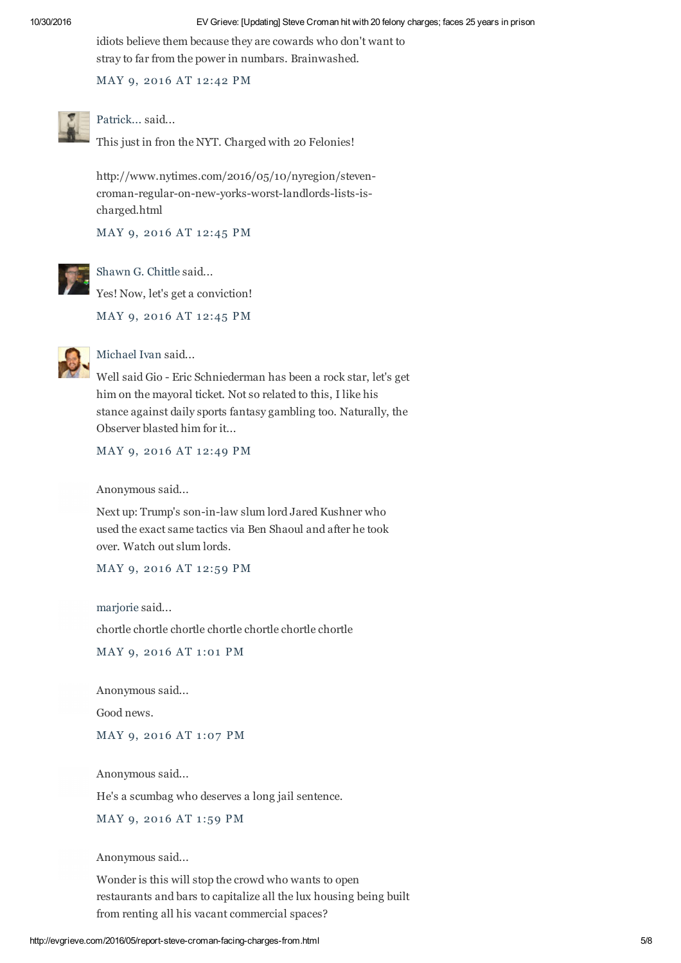idiots believe them because they are cowards who don't want to stray to far from the power in numbars. Brainwashed.

MAY 9, 2016 AT 12:42 PM



Patrick... said...

This just in fron the NYT. Charged with 20 Felonies!

http://www.nytimes.com/2016/05/10/nyregion/stevencroman-regular-on-new-yorks-worst-landlords-lists-ischarged.html

MAY 9, 2016 AT 12:45 PM



Shawn G. Chittle said... Yes! Now, let's get a conviction!

MAY 9, 2016 AT 12:45 PM



# Michael Ivan said...

Well said Gio - Eric Schniederman has been a rock star, let's get him on the mayoral ticket. Not so related to this, I like his stance against daily sports fantasy gambling too. Naturally, the Observer blasted him for it...

MAY 9, 2016 AT 12:49 PM

Anonymous said...

Next up: Trump's son-in-law slum lord Jared Kushner who used the exact same tactics via Ben Shaoul and after he took over. Watch out slum lords.

MAY 9, 2016 AT 12:59 PM

marjorie said...

chortle chortle chortle chortle chortle chortle chortle

MAY 9, 2016 AT 1:01 PM

Anonymous said...

Good news.

MAY 9, 2016 AT 1:07 PM

Anonymous said...

He's a scumbag who deserves a long jail sentence.

MAY 9, 2016 AT 1:59 PM

Anonymous said...

Wonder is this will stop the crowd who wants to open restaurants and bars to capitalize all the lux housing being built from renting all his vacant commercial spaces?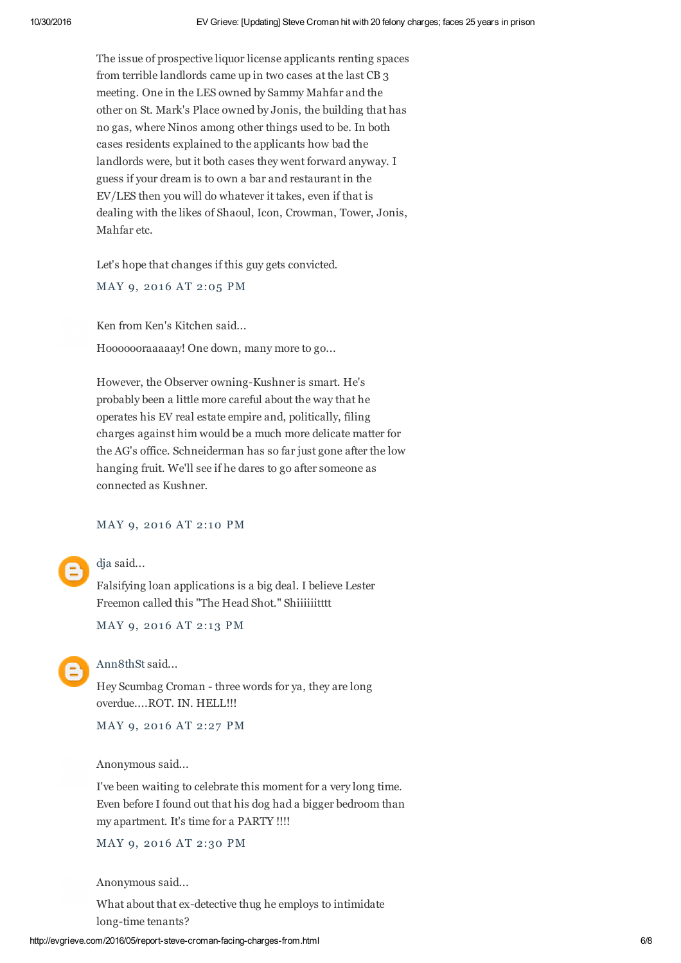The issue of prospective liquor license applicants renting spaces from terrible landlords came up in two cases at the last CB 3 meeting. One in the LES owned by Sammy Mahfar and the other on St. Mark's Place owned by Jonis, the building that has no gas, where Ninos among other things used to be. In both cases residents explained to the applicants how bad the landlords were, but it both cases they went forward anyway. I guess if your dream is to own a bar and restaurant in the EV/LES then you will do whatever it takes, even if that is dealing with the likes of Shaoul, Icon, Crowman, Tower, Jonis, Mahfar etc.

Let's hope that changes if this guy gets convicted.

MAY 9, 2016 AT 2:05 PM

Ken from Ken's Kitchen said...

Hooooooraaaaay! One down, many more to go...

However, the Observer owning-Kushner is smart. He's probably been a little more careful about the way that he operates his EV real estate empire and, politically, filing charges against him would be a much more delicate matter for the AG's office. Schneiderman has so far just gone after the low hanging fruit. We'll see if he dares to go after someone as connected as Kushner.

MAY 9, 2016 AT 2:10 PM

dja said...

Falsifying loan applications is a big deal. I believe Lester Freemon called this "The Head Shot." Shiiiiiitttt

MAY 9, 2016 AT 2:13 PM



Ann8thSt said...

Hey Scumbag Croman - three words for ya, they are long overdue....ROT. IN. HELL!!!

MAY 9, 2016 AT 2:27 PM

Anonymous said...

I've been waiting to celebrate this moment for a very long time. Even before I found out that his dog had a bigger bedroom than my apartment. It's time for a PARTY !!!!

MAY 9, 2016 AT 2:30 PM

Anonymous said...

What about that ex-detective thug he employs to intimidate long-time tenants?